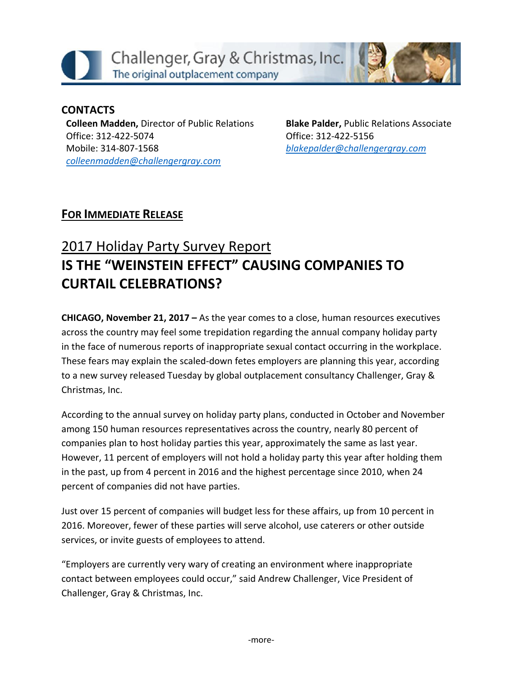

#### **CONTACTS Colleen Madden,** Director of Public Relations Office: 312-422-5074

Mobile: 314-807-1568 *[colleenmadden@challengergray.com](mailto:colleenmadden@challengergray.com)*  **Blake Palder,** Public Relations Associate Office: 312-422-5156 *[blakepalder@challengergray.com](mailto:blakepalder@challengergray.com)*

## **FOR IMMEDIATE RELEASE**

# 2017 Holiday Party Survey Report **IS THE "WEINSTEIN EFFECT" CAUSING COMPANIES TO CURTAIL CELEBRATIONS?**

**CHICAGO, November 21, 2017 –** As the year comes to a close, human resources executives across the country may feel some trepidation regarding the annual company holiday party in the face of numerous reports of inappropriate sexual contact occurring in the workplace. These fears may explain the scaled-down fetes employers are planning this year, according to a new survey released Tuesday by global outplacement consultancy Challenger, Gray & Christmas, Inc.

According to the annual survey on holiday party plans, conducted in October and November among 150 human resources representatives across the country, nearly 80 percent of companies plan to host holiday parties this year, approximately the same as last year. However, 11 percent of employers will not hold a holiday party this year after holding them in the past, up from 4 percent in 2016 and the highest percentage since 2010, when 24 percent of companies did not have parties.

Just over 15 percent of companies will budget less for these affairs, up from 10 percent in 2016. Moreover, fewer of these parties will serve alcohol, use caterers or other outside services, or invite guests of employees to attend.

"Employers are currently very wary of creating an environment where inappropriate contact between employees could occur," said Andrew Challenger, Vice President of Challenger, Gray & Christmas, Inc.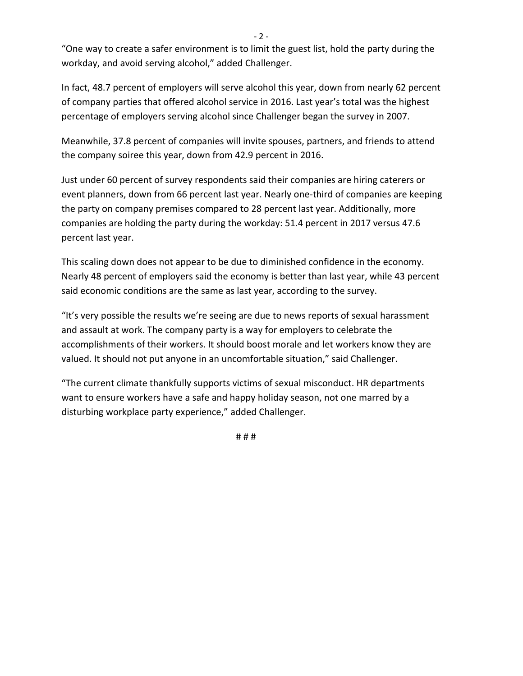$-2 -$ 

"One way to create a safer environment is to limit the guest list, hold the party during the workday, and avoid serving alcohol," added Challenger.

In fact, 48.7 percent of employers will serve alcohol this year, down from nearly 62 percent of company parties that offered alcohol service in 2016. Last year's total was the highest percentage of employers serving alcohol since Challenger began the survey in 2007.

Meanwhile, 37.8 percent of companies will invite spouses, partners, and friends to attend the company soiree this year, down from 42.9 percent in 2016.

Just under 60 percent of survey respondents said their companies are hiring caterers or event planners, down from 66 percent last year. Nearly one-third of companies are keeping the party on company premises compared to 28 percent last year. Additionally, more companies are holding the party during the workday: 51.4 percent in 2017 versus 47.6 percent last year.

This scaling down does not appear to be due to diminished confidence in the economy. Nearly 48 percent of employers said the economy is better than last year, while 43 percent said economic conditions are the same as last year, according to the survey.

"It's very possible the results we're seeing are due to news reports of sexual harassment and assault at work. The company party is a way for employers to celebrate the accomplishments of their workers. It should boost morale and let workers know they are valued. It should not put anyone in an uncomfortable situation," said Challenger.

"The current climate thankfully supports victims of sexual misconduct. HR departments want to ensure workers have a safe and happy holiday season, not one marred by a disturbing workplace party experience," added Challenger.

# # #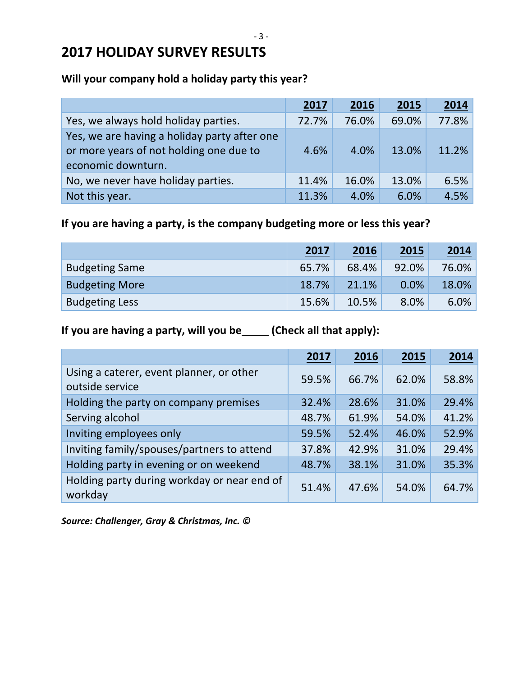# **2017 HOLIDAY SURVEY RESULTS**

#### **Will your company hold a holiday party this year?**

|                                                                                                               | 2017  | 2016  | 2015  | 2014  |
|---------------------------------------------------------------------------------------------------------------|-------|-------|-------|-------|
| Yes, we always hold holiday parties.                                                                          | 72.7% | 76.0% | 69.0% | 77.8% |
| Yes, we are having a holiday party after one<br>or more years of not holding one due to<br>economic downturn. | 4.6%  | 4.0%  | 13.0% | 11.2% |
| No, we never have holiday parties.                                                                            | 11.4% | 16.0% | 13.0% | 6.5%  |
| Not this year.                                                                                                | 11.3% | 4.0%  | 6.0%  | 4.5%  |

### **If you are having a party, is the company budgeting more or less this year?**

|                       | <u>2017</u> | 2016  | 2015    | 2014  |
|-----------------------|-------------|-------|---------|-------|
| <b>Budgeting Same</b> | 65.7%       | 68.4% | 92.0%   | 76.0% |
| <b>Budgeting More</b> | 18.7%       | 21.1% | $0.0\%$ | 18.0% |
| <b>Budgeting Less</b> | 15.6%       | 10.5% | 8.0%    | 6.0%  |

### If you are having a party, will you be\_\_\_\_(Check all that apply):

|                                                             | 2017  | 2016  | 2015  | 2014  |
|-------------------------------------------------------------|-------|-------|-------|-------|
| Using a caterer, event planner, or other<br>outside service | 59.5% | 66.7% | 62.0% | 58.8% |
| Holding the party on company premises                       | 32.4% | 28.6% | 31.0% | 29.4% |
| Serving alcohol                                             | 48.7% | 61.9% | 54.0% | 41.2% |
| Inviting employees only                                     | 59.5% | 52.4% | 46.0% | 52.9% |
| Inviting family/spouses/partners to attend                  | 37.8% | 42.9% | 31.0% | 29.4% |
| Holding party in evening or on weekend                      | 48.7% | 38.1% | 31.0% | 35.3% |
| Holding party during workday or near end of<br>workday      | 51.4% | 47.6% | 54.0% | 64.7% |

*Source: Challenger, Gray & Christmas, Inc. ©*